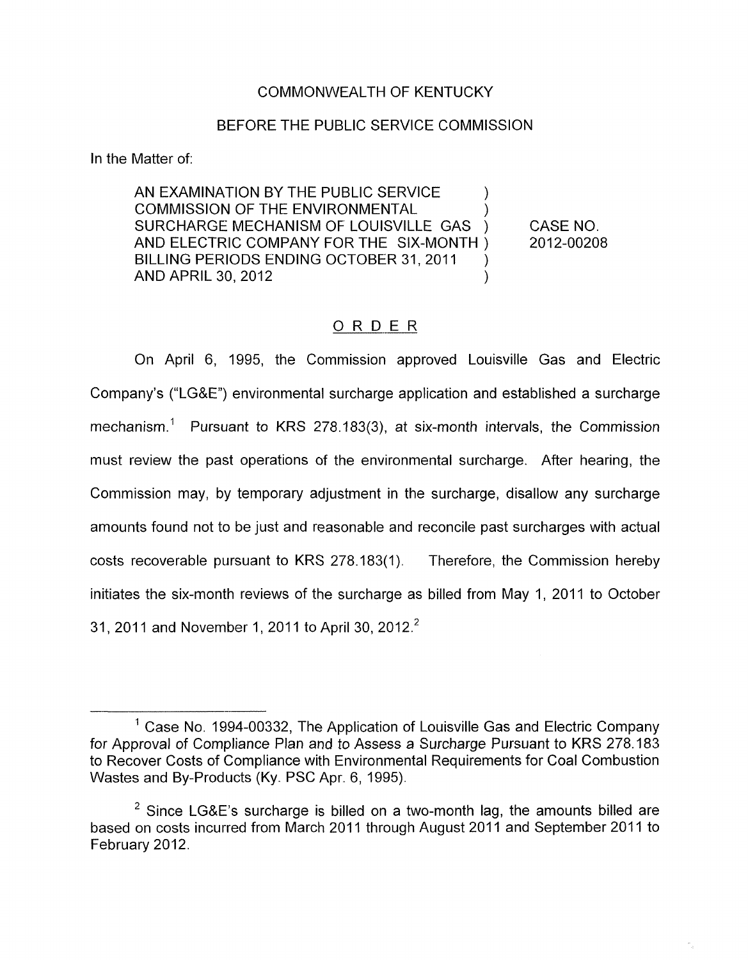## COMMONWEALTH OF KENTUCKY

### BEFORE THE PUBLIC SERVICE COMMISSION

In the Matter of:

AN EXAMINATION BY THE PUBLIC SERVICE  $\qquad \qquad$  ) COMMISSION OF THE ENVIRONMENTAL ( )<br>SURCHARGE MECHANISM OF LOUISVILLE GAS ) SURCHARGE MECHANISM OF LOUISVILLE GAS ) CASE NO. BILLING PERIODS ENDING OCTOBER 31, 2011 AND ELECTRIC COMPANY FOR THE SIX-MONTH ) 2012-00208 ) AND APRIL 30, 2012 (2014)

## ORDER

On April 6, 1995, the Commission approved Louisville Gas and Electric Company's ("LG&E") environmental surcharge application and established a surcharge mechanism.<sup>1</sup> Pursuant to KRS 278.183(3), at six-month intervals, the Commission must review the past operations of the environmental surcharge. After hearing, the Commission may, by temporary adjustment in the surcharge, disallow any surcharge amounts found not to be just and reasonable and reconcile past surcharges with actual costs recoverable pursuant to KRS 278.183( 1). Therefore, the Commission hereby initiates the six-month reviews of the surcharge as billed from May 1, 2011 to October 31, 2011 and November 1, 2011 to April 30, 2012.<sup>2</sup>

<sup>&</sup>lt;sup>1</sup> Case No. 1994-00332, The Application of Louisville Gas and Electric Company for Approval of Compliance Plan and to Assess a Surcharge Pursuant to KRS 278.183 to Recover Costs of Compliance with Environmental Requirements for Coal Combustion Wastes and By-products (Ky. PSC Apr. 6, 1995).

<sup>&</sup>lt;sup>2</sup> Since LG&E's surcharge is billed on a two-month lag, the amounts billed are based on costs incurred from March 2011 through August 2011 and September 2011 to February 2012.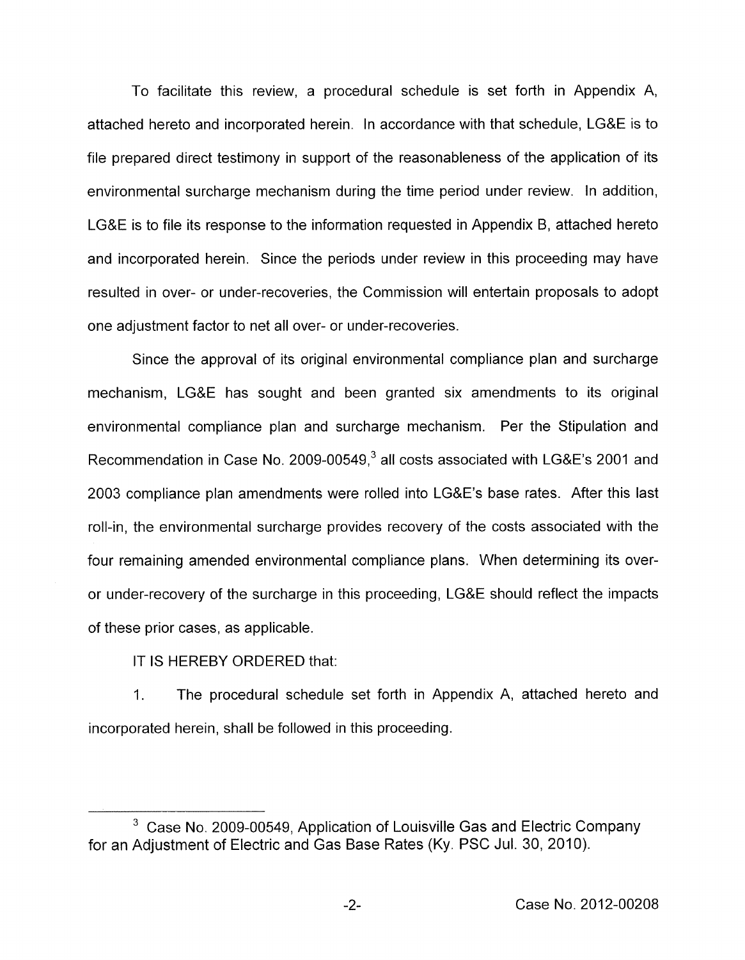To facilitate this review, a procedural schedule is set forth in Appendix A, attached hereto and incorporated herein. In accordance with that schedule, LG&E is to file prepared direct testimony in support of the reasonableness of the application of its environmental surcharge mechanism during the time period under review. In addition, LG&E is to file its response to the information requested in Appendix B, attached hereto and incorporated herein. Since the periods under review in this proceeding may have resulted in over- or under-recoveries, the Commission will entertain proposals to adopt one adjustment factor to net all over- or under-recoveries.

Since the approval of its original environmental compliance plan and surcharge mechanism, LG&E has sought and been granted six amendments to its original environmental compliance plan and surcharge mechanism. Per the Stipulation and Recommendation in Case No. 2009-00549,<sup>3</sup> all costs associated with LG&E's 2001 and 2003 compliance plan amendments were rolled into LG&E's base rates. After this last roll-in, the environmental surcharge provides recovery of the costs associated with the four remaining amended environmental compliance plans. When determining its overor under-recovery of the surcharge in this proceeding, LG&E should reflect the impacts of these prior cases, as applicable.

IT IS HEREBY ORDERED that:

1. The procedural schedule set forth in Appendix A, attached hereto and incorporated herein, shall be followed in this proceeding.

<sup>&</sup>lt;sup>3</sup> Case No. 2009-00549, Application of Louisville Gas and Electric Company for an Adjustment of Electric and Gas Base Rates (Ky. PSC Jul. 30, 2010).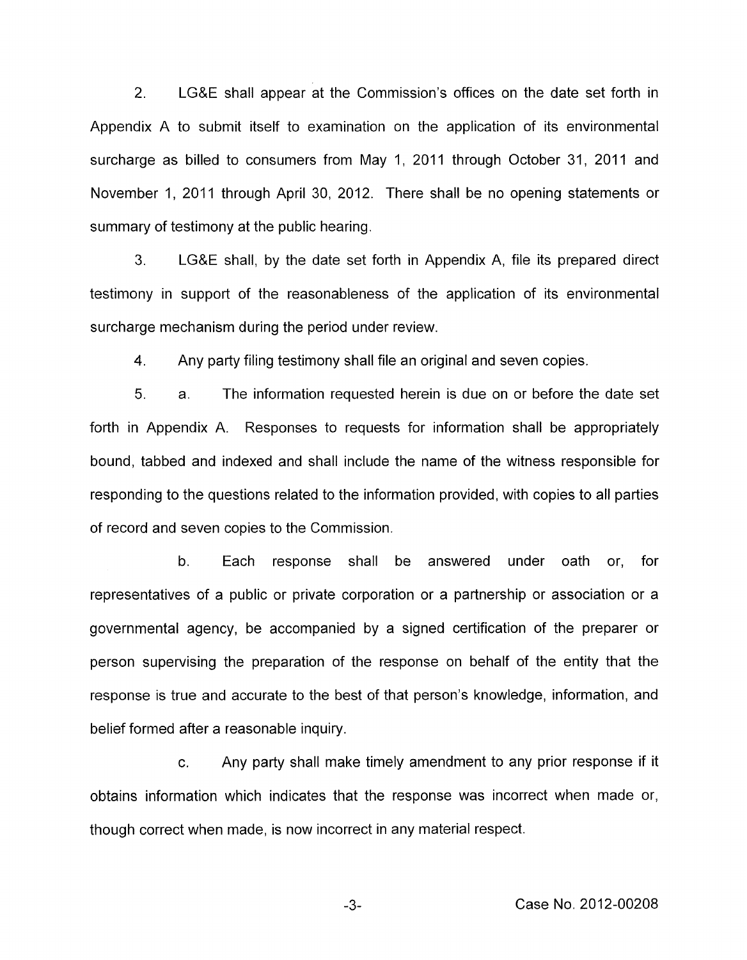2. LG&E shall appear at the Commission's offices on the date set forth in Appendix A to submit itself to examination on the application of its environmental surcharge as billed to consumers from May 1, 2011 through October 31, 2011 and November 1, 2011 through April 30, 2012. There shall be no opening statements or summary of testimony at the public hearing.

3. LG&E shall, by the date set forth in Appendix A, file its prepared direct testimony in support of the reasonableness of the application of its environmental surcharge mechanism during the period under review.

**4.**  Any party filing testimony shall file an original and seven copies.

5. a. The information requested herein is due on or before the date set forth in Appendix A. Responses to requests for information shall be appropriately bound, tabbed and indexed and shall include the name of the witness responsible for responding to the questions related to the information provided, with copies to all parties of record and seven copies to the Commission.

b. Each response shall be answered under oath or, for representatives of a public or private corporation or a partnership or association or a governmental agency, be accompanied by a signed certification of the preparer or person supervising the preparation of the response on behalf of the entity that the response is true and accurate to the best of that person's knowledge, information, and belief formed after a reasonable inquiry.

c. Any party shall make timely amendment to any prior response if it obtains information which indicates that the response was incorrect when made or, though correct when made, is now incorrect in any material respect.

-3- Case No. 2012-00208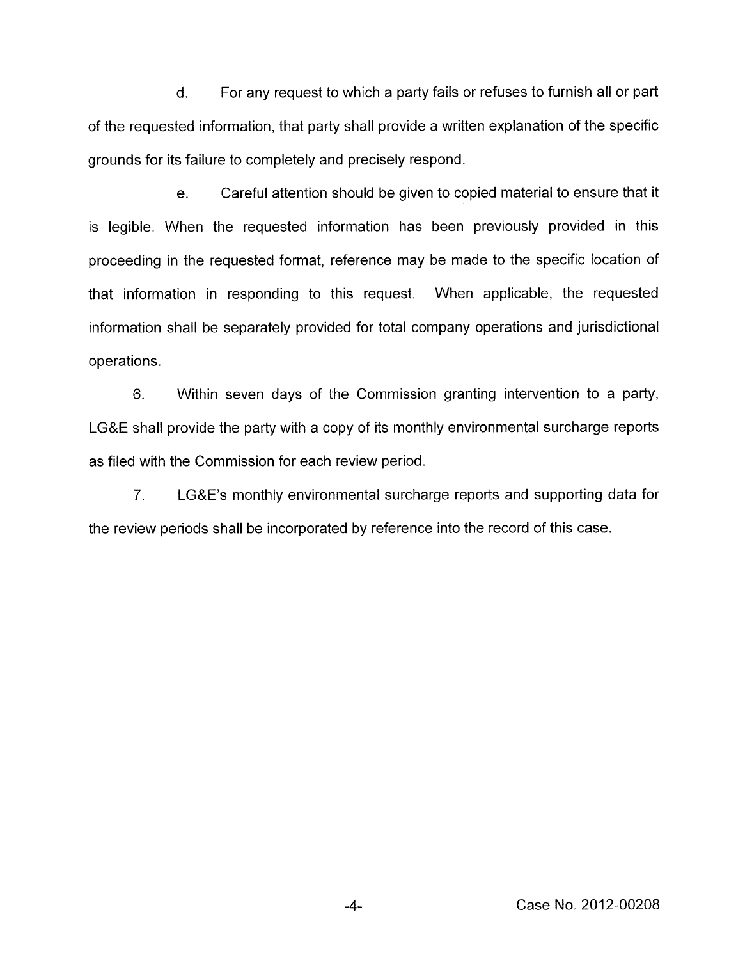d. For any request to which a party fails or refuses to furnish all or part of the requested information, that party shall provide a written explanation of the specific grounds for its failure to completely and precisely respond.

e. Careful attention should be given to copied material to ensure that it is legible. When the requested information has been previously provided in this proceeding in the requested format, reference may be made to the specific location of that information in responding to this request. When applicable, the requested information shall be separately provided for total company operations and jurisdictional operations.

6. Within seven days of the Commission granting intervention to a party, LG&E shall provide the party with a copy of its monthly environmental surcharge reports as filed with the Commission for each review period.

7. LG&E's monthly environmental surcharge reports and supporting data for the review periods shall be incorporated by reference into the record of this case.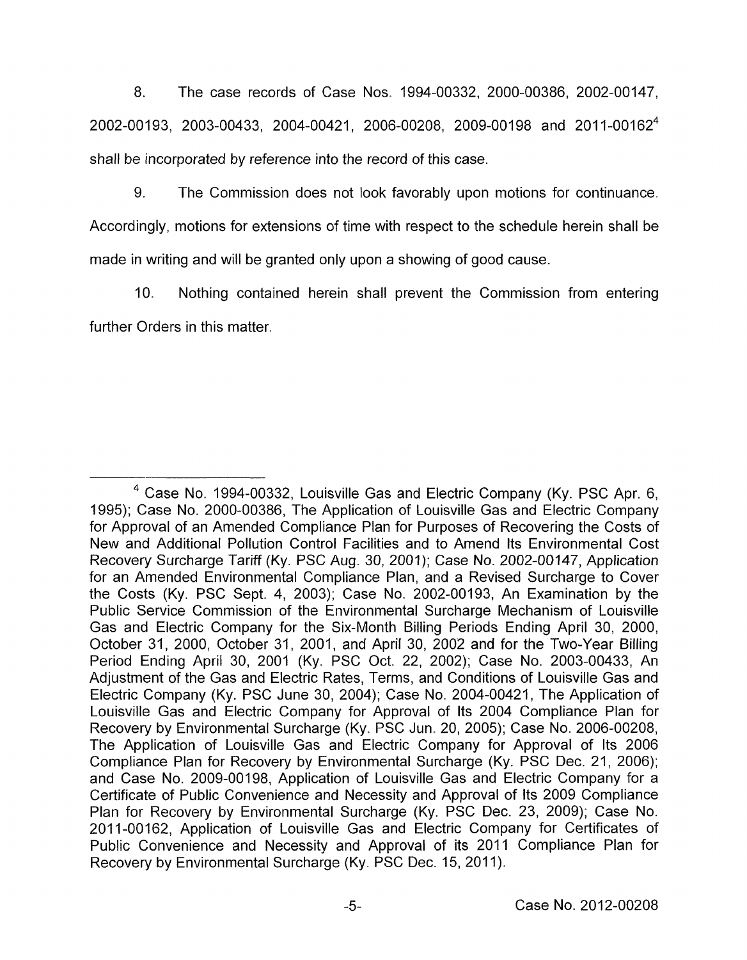8. The case records of Case Nos. 1994-00332, 2000-00386, 2002-00147, 2002-00193, 2003-00433, 2004-00421, 2006-00208, 2009-00198 and 2011-00162<sup>4</sup> shall be incorporated by reference into the record of this case.

9. The Commission does not look favorably upon motions for continuance. Accordingly, motions for extensions of time with respect to the schedule herein shall be made in writing and will be granted only upon a showing of good cause.

IO. Nothing contained herein shall prevent the Commission from entering further Orders in this matter.

<sup>&</sup>lt;sup>4</sup> Case No. 1994-00332, Louisville Gas and Electric Company (Ky. PSC Apr. 6, 1995); Case No. 2000-00386, The Application of Louisville Gas and Electric Company for Approval of an Amended Compliance Plan for Purposes of Recovering the Costs of New and Additional Pollution Control Facilities and to Amend Its Environmental Cost Recovery Surcharge Tariff (Ky. PSC Aug. 30, 2001); Case No. 2002-00147, Application for an Amended Environmental Compliance Plan, and a Revised Surcharge to Cover the Costs (Ky. PSC Sept. **4,** 2003); Case No. 2002-00193, An Examination by the Public Service Commission of the Environmental Surcharge Mechanism of Louisville Gas and Electric Company for the Six-Month Billing Periods Ending April 30, 2000, October 31, 2000, October 31, 2001, and April 30, 2002 and for the Two-Year Billing Period Ending April 30, 2001 (Ky. PSC Oct. 22, 2002); Case No. 2003-00433, An Adjustment of the Gas and Electric Rates, Terms, and Conditions of Louisville Gas and Electric Company (Ky. PSC June 30, 2004); Case No. 2004-00421, The Application of Louisville Gas and Electric Company for Approval of Its 2004 Compliance Plan for Recovery by Environmental Surcharge (Ky. PSC Jun. 20, 2005); Case No. 2006-00208, The Application of Louisville Gas and Electric Company for Approval of Its 2006 Compliance Plan for Recovery by Environmental Surcharge (Ky. PSC Dec. 21, 2006); and Case No. 2009-00198, Application of Louisville Gas and Electric Company for a Certificate of Public Convenience and Necessity and Approval of Its 2009 Compliance Plan for Recovery by Environmental Surcharge (Ky. PSC Dec. 23, 2009); Case No. 201 1-00162, Application of Louisville Gas and Electric Company for Certificates of Public Convenience and Necessity and Approval of its 2011 Compliance Plan for Recovery by Environmental Surcharge (Ky. PSC Dec. 15, 2011).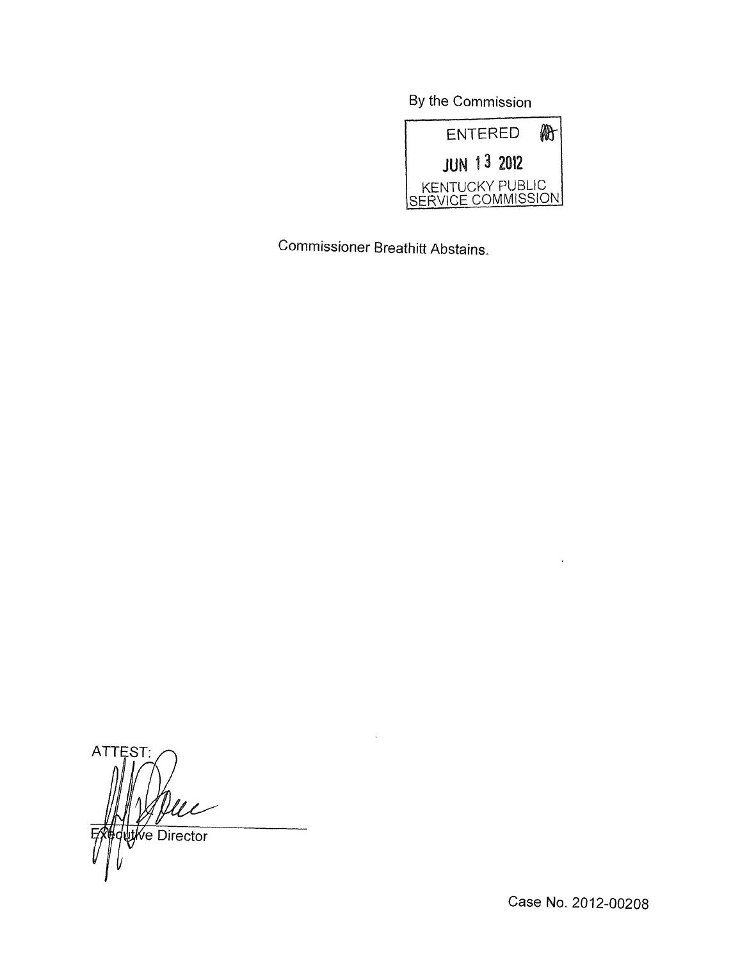By the Commission



Commissioner Breathitt Abstains.

ATTEST: *Let y*<br>utive Director

Case No. 2012-00208

 $\ddot{\phantom{a}}$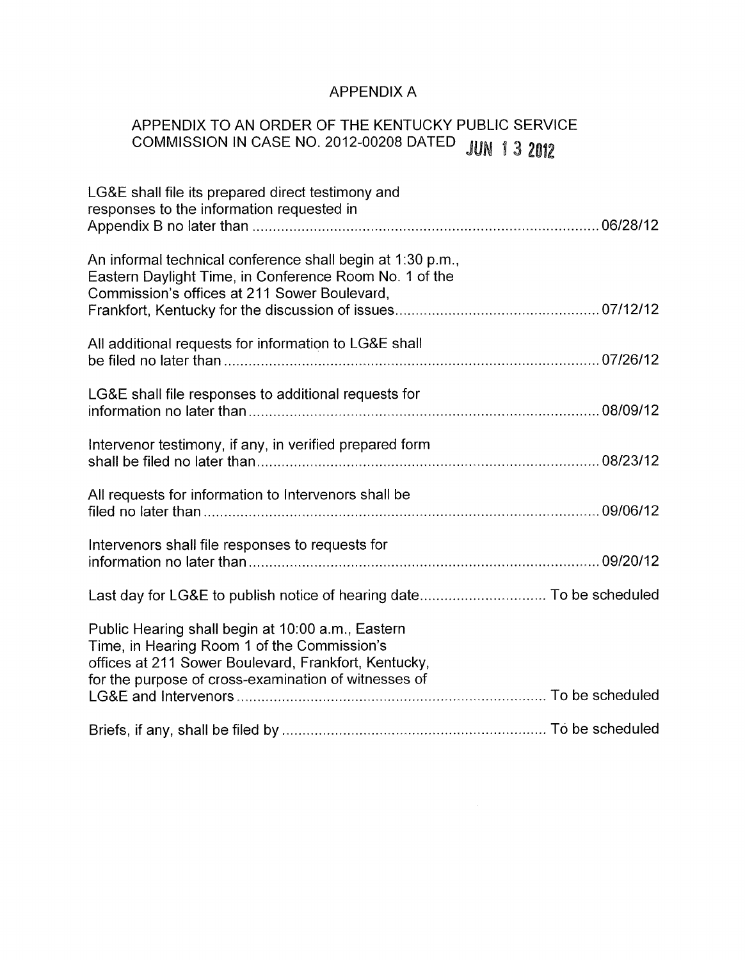# APPENDIX A

# APPENDIX TO AN ORDER OF THE KENTUCKY PUBLIC SERVICE APPENDIA TO AN OILLETT OF THE COMMISSION IN CASE NO. 2012-00208 DATED JUN 1 3 2012

| LG&E shall file its prepared direct testimony and<br>responses to the information requested in                                                                                                                   |  |
|------------------------------------------------------------------------------------------------------------------------------------------------------------------------------------------------------------------|--|
| An informal technical conference shall begin at 1:30 p.m.,<br>Eastern Daylight Time, in Conference Room No. 1 of the<br>Commission's offices at 211 Sower Boulevard,                                             |  |
| All additional requests for information to LG&E shall                                                                                                                                                            |  |
| LG&E shall file responses to additional requests for                                                                                                                                                             |  |
| Intervenor testimony, if any, in verified prepared form                                                                                                                                                          |  |
| All requests for information to Intervenors shall be                                                                                                                                                             |  |
| Intervenors shall file responses to requests for                                                                                                                                                                 |  |
|                                                                                                                                                                                                                  |  |
| Public Hearing shall begin at 10:00 a.m., Eastern<br>Time, in Hearing Room 1 of the Commission's<br>offices at 211 Sower Boulevard, Frankfort, Kentucky,<br>for the purpose of cross-examination of witnesses of |  |
|                                                                                                                                                                                                                  |  |
|                                                                                                                                                                                                                  |  |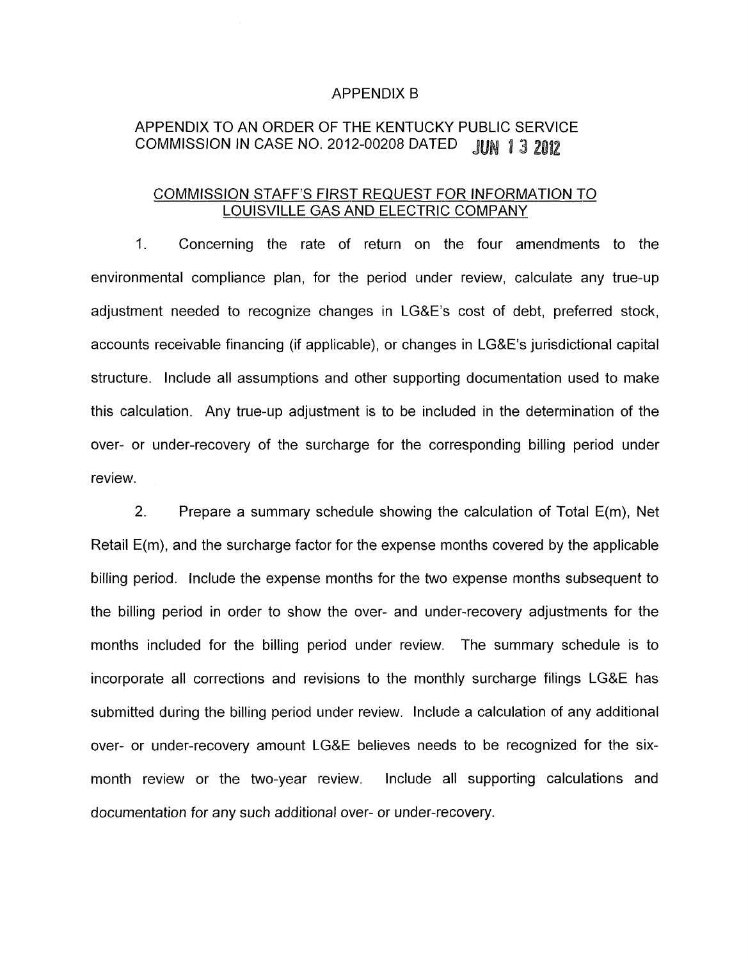### APPENDIX B

# APPENDIX TO AN ORDER OF THE KENTUCKY PUBLIC SERVICE COMMISSION IN CASE NO. 2012-00208 DATED JUN 1 3 2012

### COMMISSION STAFF'S FIRST REQUEST FOR INFORMATION TO LOUISVILLE GAS AND ELECTRIC COMPANY

I. Concerning the rate of return on the four amendments to the environmental compliance plan, for the period under review, calculate any true-up adjustment needed to recognize changes in LG&E's cost of debt, preferred stock, accounts receivable financing (if applicable), or changes in LG&E's jurisdictional capital structure. Include all assumptions and other supporting documentation used to make this calculation. Any true-up adjustment is to be included in the determination of the over- or under-recovery of the surcharge for the corresponding billing period under review.

2. Prepare a summary schedule showing the calculation of Total E(m), Net Retail E(m), and the surcharge factor for the expense months covered by the applicable billing period. Include the expense months for the two expense months subsequent to the billing period in order to show the over- and under-recovery adjustments for the months included for the billing period under review. The summary schedule is to incorporate all corrections and revisions to the monthly surcharge filings LG&E has submitted during the billing period under review. Include a calculation of any additional over- or under-recovery amount LG&E believes needs to be recognized for the sixmonth review or the two-year review. Include all supporting calculations and documentation for any such additional over- or under-recovery.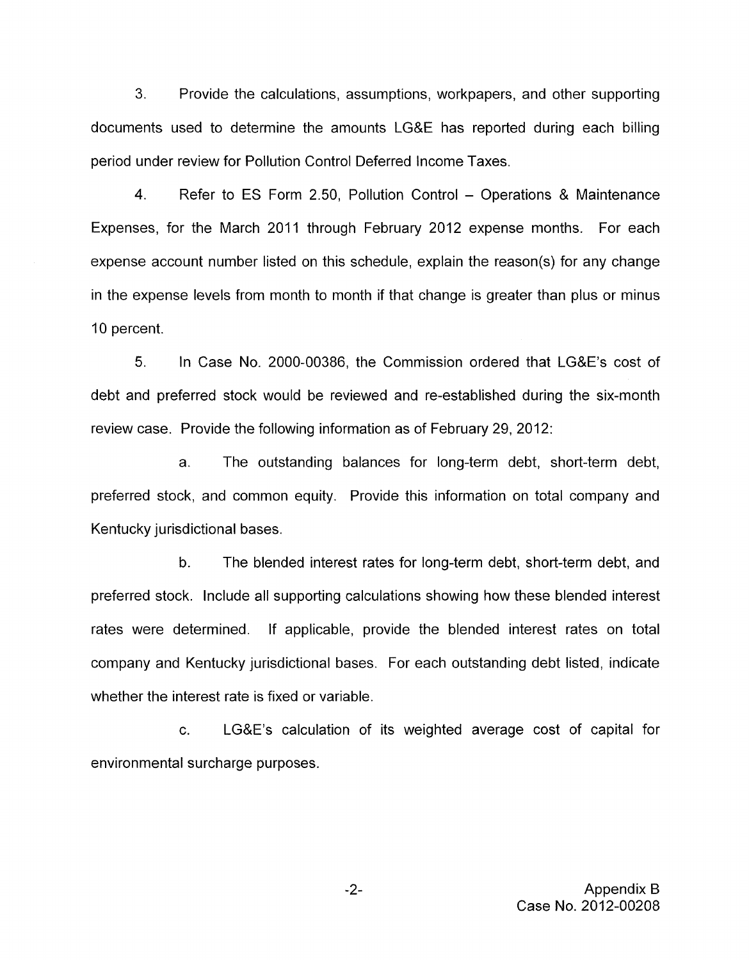3. Provide the calculations, assumptions, workpapers, and other supporting documents used to determine the amounts LG&E has reported during each billing period under review for Pollution Control Deferred Income Taxes.

4. Refer to ES Form 2.50, Pollution Control - Operations & Maintenance Expenses, for the March 2011 through February 2012 expense months. For each expense account number listed on this schedule, explain the reason(s) for any change in the expense levels from month to month if that change is greater than plus or minus 10 percent.

5. In Case No. 2000-00386, the Commission ordered that LG&E's cost of debt and preferred stock would be reviewed and re-established during the six-month review case. Provide the following information as of February 29, 2012:

a. The outstanding balances for long-term debt, short-term debt, preferred stock, and common equity. Provide this information on total company and Kentucky jurisdictional bases.

b. The blended interest rates for long-term debt, short-term debt, and preferred stock. Include all supporting calculations showing how these blended interest rates were determined. If applicable, provide the blended interest rates on total company and Kentucky jurisdictional bases. For each outstanding debt listed, indicate whether the interest rate is fixed or variable.

c. LG&E's calculation of its weighted average cost of capital for environmental surcharge purposes.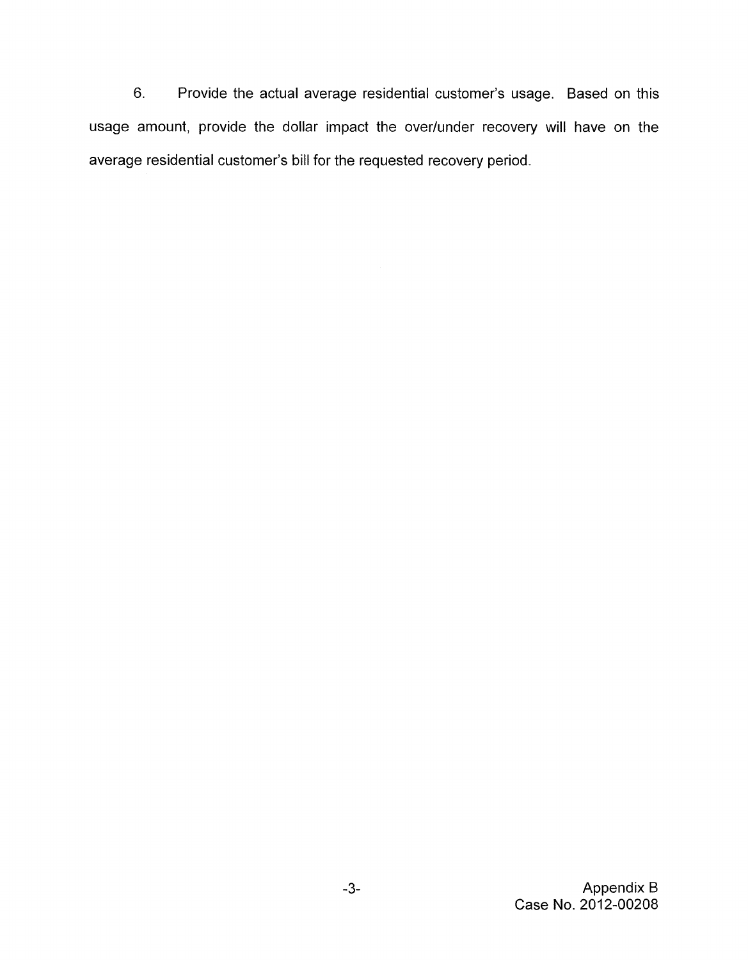6. Provide the actual average residential customer's usage. Based on this usage amount, provide the dollar impact the over/under recovery will have on the average residential customer's bill for the requested recovery period.